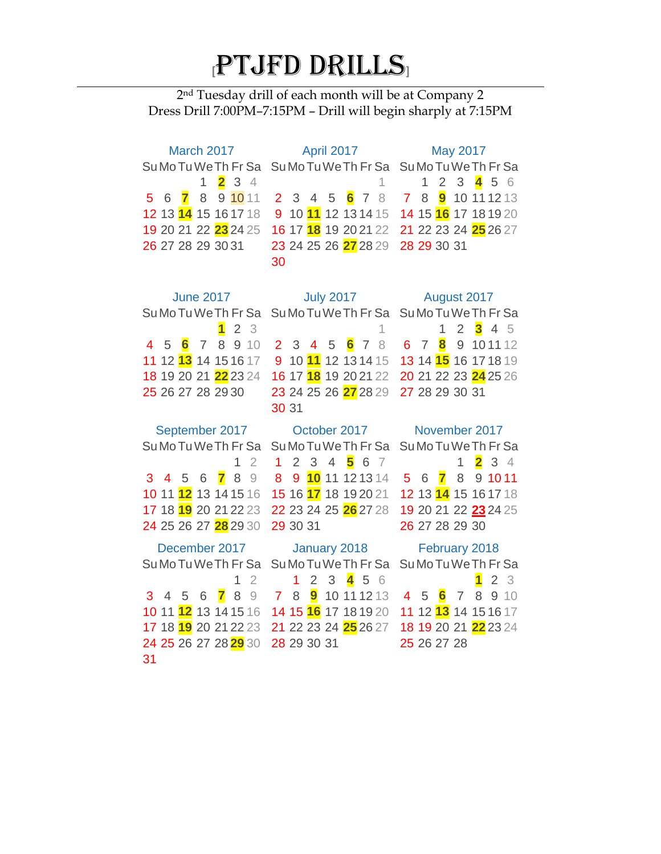## **[**PTJFD DRILLS**]**

nd Tuesday drill of each month will be at Company 2 Dress Drill 7:00PM–7:15PM – Drill will begin sharply at 7:15PM

| March 2017                                                | <b>April 2017</b>                                              | <b>May 2017</b>                                                          |
|-----------------------------------------------------------|----------------------------------------------------------------|--------------------------------------------------------------------------|
| Su Mo Tu We Th Fr Sa                                      | Su Mo Tu We Th Fr Sa Su Mo Tu We Th Fr Sa                      |                                                                          |
| $\overline{\mathbf{2}}$<br>3 <sup>4</sup><br>$\mathbf{1}$ | 1                                                              | 23456<br>$\mathbf{1}$                                                    |
| 5 6 7<br>8<br>9 10 11                                     | 2 3 4 5 6 7 8 7 8                                              | <b>9</b> 10 11 12 13                                                     |
| 12 13 14 15 16 17 18                                      | 10 <mark>11</mark> 12 13 14 15<br>9                            | 14 15 16 17 18 19 20                                                     |
| 19 20 21 22 23 24 25                                      |                                                                | 21 22 23 24 25 26 27                                                     |
| 26 27 28 29 30 31                                         | 23 24 25 26 27 28 29                                           | 28 29 30 31                                                              |
|                                                           | 30                                                             |                                                                          |
|                                                           |                                                                |                                                                          |
| <b>June 2017</b>                                          |                                                                | July 2017    August 2017                                                 |
| Su Mo Tu We Th Fr Sa                                      | Su Mo Tu We Th Fr Sa Su Mo Tu We Th Fr Sa                      |                                                                          |
| 2 <sub>3</sub><br>$\overline{\mathbf{1}}$                 | $\mathbf{1}$                                                   | $2^{\circ}$<br>$3^{\circ}4$<br>- 5<br>$\mathbf{1}$                       |
| 8<br>5 6 7<br>910<br>4                                    | 2 3 4 5 6 7 8 6 7                                              | 9 10 11 12<br>8                                                          |
| 12 <b>13</b> 14 15 16 17<br>11                            | 9 10 11 12 13 14 15                                            | 13 14 15 16 17 18 19                                                     |
| 18 19 20 21 22 23 24                                      | 16 17 <mark>18</mark> 19 20 21 22                              | 20 21 22 23 24 25 26                                                     |
| 25 26 27 28 29 30                                         | 23 24 25 26 27 28 29                                           | 27 28 29 30 31                                                           |
|                                                           | 30 31                                                          |                                                                          |
|                                                           | September 2017 October 2017                                    | November 2017                                                            |
| Su Mo Tu We Th Fr Sa                                      | Su Mo Tu We Th Fr Sa                                           | Su Mo Tu We Th Fr Sa                                                     |
| $\overline{2}$<br>$\mathbf{1}$                            | $2 \quad 3$<br>4<br>56<br>$1 \quad$<br>- 7                     | $\overline{\mathbf{2}}$<br>34<br>1                                       |
| 8<br>3 4 5 6<br>$\mathbf{7}$<br>9                         | 9 10 11 12 13 14<br>8                                          | 8<br>9 10 11<br>5 6 7                                                    |
| 10 11 12 13 14 15 16                                      |                                                                | 12 13 14 15 16 17 18                                                     |
| 17 18 19 20 21 22 23                                      | 22 23 24 25 26 27 28                                           | 19 20 21 22 23 24 25                                                     |
| 24 25 26 27 28 29 30                                      | 29 30 31                                                       | 26 27 28 29 30                                                           |
| December 2017                                             | January 2018                                                   | February 2018                                                            |
| Su Mo Tu We Th Fr Sa                                      | Su Mo Tu We Th Fr Sa                                           | Su Mo Tu We Th Fr Sa                                                     |
| $\overline{2}$<br>1                                       | $3\frac{4}{3}$<br>$\overline{2}$<br>- 5<br>1 <sup>1</sup><br>6 | $\blacksquare$<br>$\overline{2}$<br>3                                    |
| 7<br>3<br>8<br>$\Theta$<br>4<br>5<br>6                    | <b>9</b> 10 11 12 13<br>7 8                                    | $6\overline{6}$<br>8<br>$\overline{4}$<br>5<br>$\overline{7}$<br>9<br>10 |

 11 **12** 13 14 15 16 14 15 **16** 17 18 19 20 11 12 **13** 14 15 16 17 18 **19** 20 21 22 23 21 22 23 24 **25** 26 27 18 19 20 21 **22** 23 24 25 26 27 28 **29** 30 28 29 30 31 

26 27 28